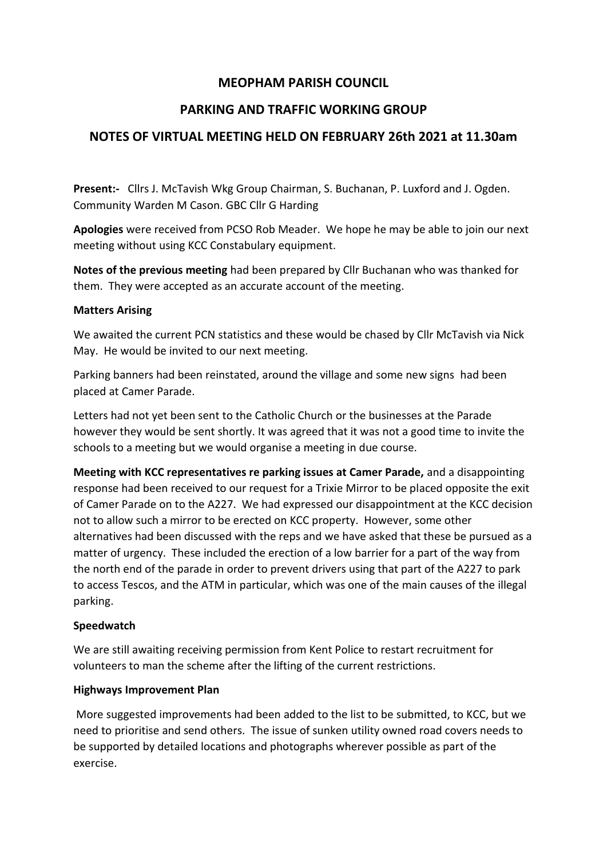# **MEOPHAM PARISH COUNCIL**

# **PARKING AND TRAFFIC WORKING GROUP**

# **NOTES OF VIRTUAL MEETING HELD ON FEBRUARY 26th 2021 at 11.30am**

**Present:-** Cllrs J. McTavish Wkg Group Chairman, S. Buchanan, P. Luxford and J. Ogden. Community Warden M Cason. GBC Cllr G Harding

**Apologies** were received from PCSO Rob Meader. We hope he may be able to join our next meeting without using KCC Constabulary equipment.

**Notes of the previous meeting** had been prepared by Cllr Buchanan who was thanked for them. They were accepted as an accurate account of the meeting.

#### **Matters Arising**

We awaited the current PCN statistics and these would be chased by Cllr McTavish via Nick May. He would be invited to our next meeting.

Parking banners had been reinstated, around the village and some new signs had been placed at Camer Parade.

Letters had not yet been sent to the Catholic Church or the businesses at the Parade however they would be sent shortly. It was agreed that it was not a good time to invite the schools to a meeting but we would organise a meeting in due course.

**Meeting with KCC representatives re parking issues at Camer Parade,** and a disappointing response had been received to our request for a Trixie Mirror to be placed opposite the exit of Camer Parade on to the A227. We had expressed our disappointment at the KCC decision not to allow such a mirror to be erected on KCC property. However, some other alternatives had been discussed with the reps and we have asked that these be pursued as a matter of urgency. These included the erection of a low barrier for a part of the way from the north end of the parade in order to prevent drivers using that part of the A227 to park to access Tescos, and the ATM in particular, which was one of the main causes of the illegal parking.

### **Speedwatch**

We are still awaiting receiving permission from Kent Police to restart recruitment for volunteers to man the scheme after the lifting of the current restrictions.

### **Highways Improvement Plan**

More suggested improvements had been added to the list to be submitted, to KCC, but we need to prioritise and send others. The issue of sunken utility owned road covers needs to be supported by detailed locations and photographs wherever possible as part of the exercise.